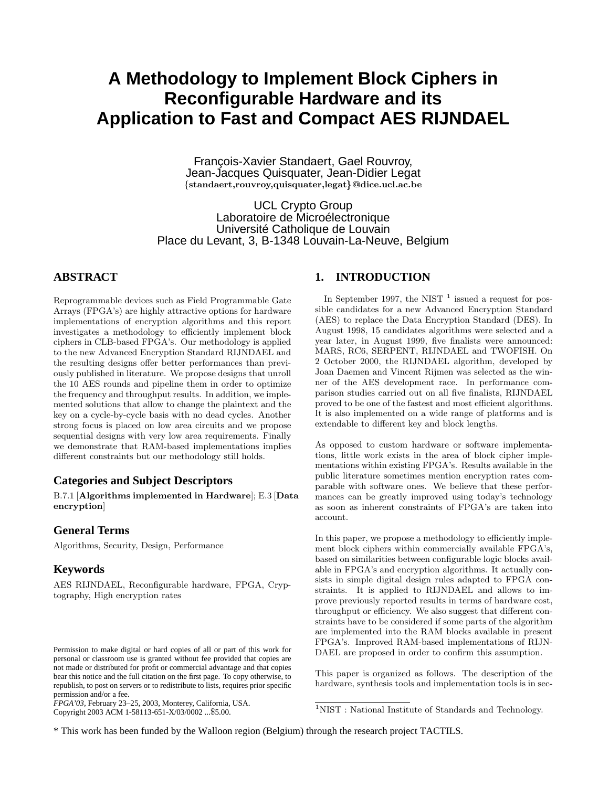# **A Methodology to Implement Block Ciphers in Reconfigurable Hardware and its Application to Fast and Compact AES RIJNDAEL**

François-Xavier Standaert, Gael Rouvroy, Jean-Jacques Quisquater, Jean-Didier Legat {standaert,rouvroy,quisquater,legat}@dice.ucl.ac.be

UCL Crypto Group Laboratoire de Microélectronique Université Catholique de Louvain Place du Levant, 3, B-1348 Louvain-La-Neuve, Belgium

# **ABSTRACT**

Reprogrammable devices such as Field Programmable Gate Arrays (FPGA's) are highly attractive options for hardware implementations of encryption algorithms and this report investigates a methodology to efficiently implement block ciphers in CLB-based FPGA's. Our methodology is applied to the new Advanced Encryption Standard RIJNDAEL and the resulting designs offer better performances than previously published in literature. We propose designs that unroll the 10 AES rounds and pipeline them in order to optimize the frequency and throughput results. In addition, we implemented solutions that allow to change the plaintext and the key on a cycle-by-cycle basis with no dead cycles. Another strong focus is placed on low area circuits and we propose sequential designs with very low area requirements. Finally we demonstrate that RAM-based implementations implies different constraints but our methodology still holds.

# **Categories and Subject Descriptors**

B.7.1 [Algorithms implemented in Hardware]; E.3 [Data encryption]

### **General Terms**

Algorithms, Security, Design, Performance

### **Keywords**

AES RIJNDAEL, Reconfigurable hardware, FPGA, Cryptography, High encryption rates

*FPGA'03,* February 23–25, 2003, Monterey, California, USA. Copyright 2003 ACM 1-58113-651-X/03/0002 ...\$5.00.

#### **1. INTRODUCTION**

In September 1997, the NIST  $<sup>1</sup>$  issued a request for pos-</sup> sible candidates for a new Advanced Encryption Standard (AES) to replace the Data Encryption Standard (DES). In August 1998, 15 candidates algorithms were selected and a year later, in August 1999, five finalists were announced: MARS, RC6, SERPENT, RIJNDAEL and TWOFISH. On 2 October 2000, the RIJNDAEL algorithm, developed by Joan Daemen and Vincent Rijmen was selected as the winner of the AES development race. In performance comparison studies carried out on all five finalists, RIJNDAEL proved to be one of the fastest and most efficient algorithms. It is also implemented on a wide range of platforms and is extendable to different key and block lengths.

As opposed to custom hardware or software implementations, little work exists in the area of block cipher implementations within existing FPGA's. Results available in the public literature sometimes mention encryption rates comparable with software ones. We believe that these performances can be greatly improved using today's technology as soon as inherent constraints of FPGA's are taken into account.

In this paper, we propose a methodology to efficiently implement block ciphers within commercially available FPGA's, based on similarities between configurable logic blocks available in FPGA's and encryption algorithms. It actually consists in simple digital design rules adapted to FPGA constraints. It is applied to RIJNDAEL and allows to improve previously reported results in terms of hardware cost, throughput or efficiency. We also suggest that different constraints have to be considered if some parts of the algorithm are implemented into the RAM blocks available in present FPGA's. Improved RAM-based implementations of RIJN-DAEL are proposed in order to confirm this assumption.

This paper is organized as follows. The description of the hardware, synthesis tools and implementation tools is in sec-

\* This work has been funded by the Walloon region (Belgium) through the research project TACTILS.

Permission to make digital or hard copies of all or part of this work for personal or classroom use is granted without fee provided that copies are not made or distributed for profit or commercial advantage and that copies bear this notice and the full citation on the first page. To copy otherwise, to republish, to post on servers or to redistribute to lists, requires prior specific permission and/or a fee.

 ${}^{1}\rm NIST$  : National Institute of Standards and Technology.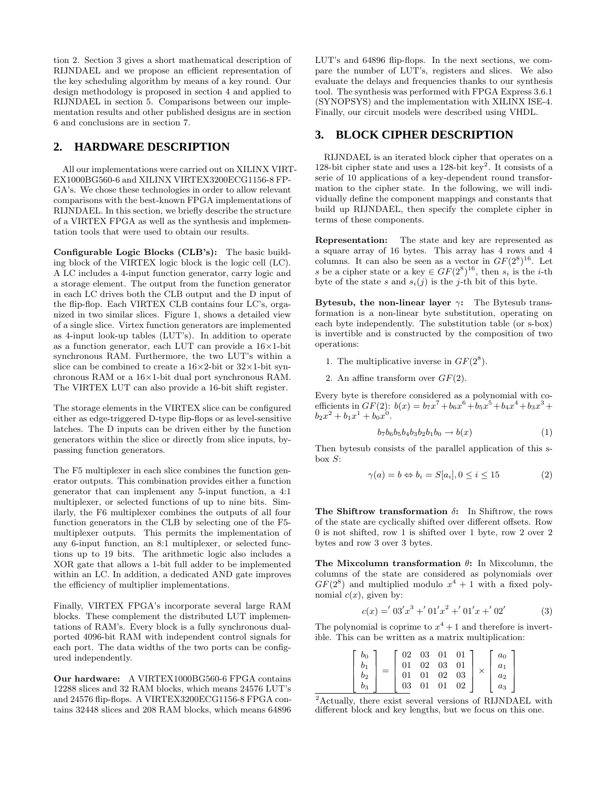tion 2. Section 3 gives a short mathematical description of RIJNDAEL and we propose an efficient representation of the key scheduling algorithm by means of a key round. Our design methodology is proposed in section 4 and applied to RIJNDAEL in section 5. Comparisons between our implementation results and other published designs are in section 6 and conclusions are in section 7.

## **2. HARDWARE DESCRIPTION**

All our implementations were carried out on XILINX VIRT-EX1000BG560-6 and XILINX VIRTEX3200ECG1156-8 FP-GA's. We chose these technologies in order to allow relevant comparisons with the best-known FPGA implementations of RIJNDAEL. In this section, we briefly describe the structure of a VIRTEX FPGA as well as the synthesis and implementation tools that were used to obtain our results.

Configurable Logic Blocks (CLB's): The basic building block of the VIRTEX logic block is the logic cell (LC). A LC includes a 4-input function generator, carry logic and a storage element. The output from the function generator in each LC drives both the CLB output and the D input of the flip-flop. Each VIRTEX CLB contains four LC's, organized in two similar slices. Figure 1, shows a detailed view of a single slice. Virtex function generators are implemented as 4-input look-up tables (LUT's). In addition to operate as a function generator, each LUT can provide a  $16\times1$ -bit synchronous RAM. Furthermore, the two LUT's within a slice can be combined to create a  $16\times2$ -bit or  $32\times1$ -bit synchronous RAM or a 16×1-bit dual port synchronous RAM. The VIRTEX LUT can also provide a 16-bit shift register.

The storage elements in the VIRTEX slice can be configured either as edge-triggered D-type flip-flops or as level-sensitive latches. The D inputs can be driven either by the function generators within the slice or directly from slice inputs, bypassing function generators.

The F5 multiplexer in each slice combines the function generator outputs. This combination provides either a function generator that can implement any 5-input function, a 4:1 multiplexer, or selected functions of up to nine bits. Similarly, the F6 multiplexer combines the outputs of all four function generators in the CLB by selecting one of the F5 multiplexer outputs. This permits the implementation of any 6-input function, an 8:1 multiplexer, or selected functions up to 19 bits. The arithmetic logic also includes a XOR gate that allows a 1-bit full adder to be implemented within an LC. In addition, a dedicated AND gate improves the efficiency of multiplier implementations.

Finally, VIRTEX FPGA's incorporate several large RAM blocks. These complement the distributed LUT implementations of RAM's. Every block is a fully synchronous dualported 4096-bit RAM with independent control signals for each port. The data widths of the two ports can be configured independently.

Our hardware: A VIRTEX1000BG560-6 FPGA contains 12288 slices and 32 RAM blocks, which means 24576 LUT's and 24576 flip-flops. A VIRTEX3200ECG1156-8 FPGA contains 32448 slices and 208 RAM blocks, which means 64896 LUT's and 64896 flip-flops. In the next sections, we compare the number of LUT's, registers and slices. We also evaluate the delays and frequencies thanks to our synthesis tool. The synthesis was performed with FPGA Express 3.6.1 (SYNOPSYS) and the implementation with XILINX ISE-4. Finally, our circuit models were described using VHDL.

#### **3. BLOCK CIPHER DESCRIPTION**

RIJNDAEL is an iterated block cipher that operates on a 128-bit cipher state and uses a 128-bit key<sup>2</sup>. It consists of a serie of 10 applications of a key-dependent round transformation to the cipher state. In the following, we will individually define the component mappings and constants that build up RIJNDAEL, then specify the complete cipher in terms of these components.

Representation: The state and key are represented as a square array of 16 bytes. This array has 4 rows and 4 columns. It can also be seen as a vector in  $GF(2^8)^{16}$ . Let s be a cipher state or a key  $\in GF(2^8)^{16}$ , then  $s_i$  is the *i*-th byte of the state s and  $s_i(j)$  is the j-th bit of this byte.

Bytesub, the non-linear layer  $\gamma$ : The Bytesub transformation is a non-linear byte substitution, operating on each byte independently. The substitution table (or s-box) is invertible and is constructed by the composition of two operations:

- 1. The multiplicative inverse in  $GF(2^8)$ .
- 2. An affine transform over  $GF(2)$ .

Every byte is therefore considered as a polynomial with coefficients in  $GF(2)$ :  $b(x) = b_7x^7 + b_6x^6 + b_5x^5 + b_4x^4 + b_3x^3 +$  $b_2x^2 + b_1x^1 + b_0x^0$ .

$$
b_7b_6b_5b_4b_3b_2b_1b_0 \to b(x) \tag{1}
$$

Then bytesub consists of the parallel application of this sbox  $S$ :

$$
\gamma(a) = b \Leftrightarrow b_i = S[a_i], 0 \le i \le 15 \tag{2}
$$

The Shiftrow transformation  $\delta$ : In Shiftrow, the rows of the state are cyclically shifted over different offsets. Row 0 is not shifted, row 1 is shifted over 1 byte, row 2 over 2 bytes and row 3 over 3 bytes.

The Mixcolumn transformation  $\theta$ : In Mixcolumn, the columns of the state are considered as polynomials over  $GF(2^8)$  and multiplied modulo  $x^4 + 1$  with a fixed polynomial  $c(x)$ , given by:

$$
c(x) = 0.3'x^3 + 0.1'x^2 + 0.1'x + 0.2'
$$
 (3)

The polynomial is coprime to  $x^4 + 1$  and therefore is invertible. This can be written as a matrix multiplication:

| $b_0$      |  |    | $02\quad 03\quad 01\quad 01$                                  |    |    | a <sub>0</sub> |
|------------|--|----|---------------------------------------------------------------|----|----|----------------|
|            |  | 01 | $\begin{array}{ccc} 02 & 03 & 01 \\ 01 & 02 & 03 \end{array}$ |    |    | $a_1$          |
| $^{\,b_2}$ |  | 01 |                                                               |    |    | $a_2$          |
| 03         |  | 03 | 01                                                            | 01 | 02 | $a_3$          |

<sup>2</sup>Actually, there exist several versions of RIJNDAEL with different block and key lengths, but we focus on this one.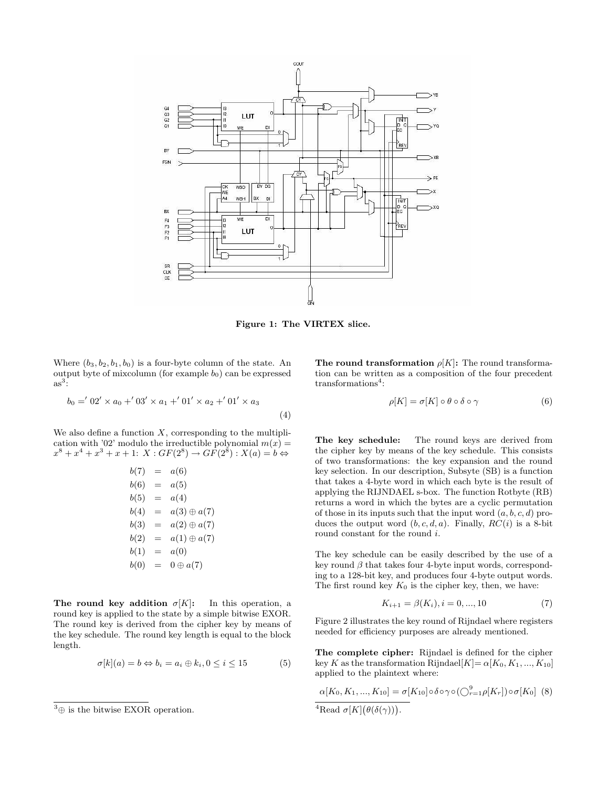

Figure 1: The VIRTEX slice.

Where  $(b_3, b_2, b_1, b_0)$  is a four-byte column of the state. An output byte of mixcolumn (for example  $b_0$ ) can be expressed  $as^3$ :

$$
b_0 = 0' 02' \times a_0 + 03' \times a_1 + 01' \times a_2 + 01' \times a_3
$$
\n<sup>(4)</sup>

We also define a function  $X$ , corresponding to the multiplication with '02' modulo the irreductible polynomial  $m(x) =$  $x^{8} + x^{4} + x^{3} + x + 1$ :  $X : GF(2^{8}) \rightarrow GF(2^{8}) : X(a) = b \Leftrightarrow$ 

$$
b(7) = a(6)
$$
  
\n
$$
b(6) = a(5)
$$
  
\n
$$
b(5) = a(4)
$$
  
\n
$$
b(4) = a(3) \oplus a(7)
$$
  
\n
$$
b(3) = a(2) \oplus a(7)
$$
  
\n
$$
b(2) = a(1) \oplus a(7)
$$
  
\n
$$
b(1) = a(0)
$$
  
\n
$$
b(0) = 0 \oplus a(7)
$$

The round key addition  $\sigma[K]$ : In this operation, a round key is applied to the state by a simple bitwise EXOR. The round key is derived from the cipher key by means of the key schedule. The round key length is equal to the block length.

$$
\sigma[k](a) = b \Leftrightarrow b_i = a_i \oplus k_i, 0 \le i \le 15 \tag{5}
$$

The round transformation  $\rho[K]$ : The round transformation can be written as a composition of the four precedent transformations<sup>4</sup>:

$$
\rho[K] = \sigma[K] \circ \theta \circ \delta \circ \gamma \tag{6}
$$

The key schedule: The round keys are derived from the cipher key by means of the key schedule. This consists of two transformations: the key expansion and the round key selection. In our description, Subsyte (SB) is a function that takes a 4-byte word in which each byte is the result of applying the RIJNDAEL s-box. The function Rotbyte (RB) returns a word in which the bytes are a cyclic permutation of those in its inputs such that the input word  $(a, b, c, d)$  produces the output word  $(b, c, d, a)$ . Finally,  $RC(i)$  is a 8-bit round constant for the round  $i$ .

The key schedule can be easily described by the use of a key round  $\beta$  that takes four 4-byte input words, corresponding to a 128-bit key, and produces four 4-byte output words. The first round key  $K_0$  is the cipher key, then, we have:

$$
K_{i+1} = \beta(K_i), i = 0, ..., 10
$$
\n<sup>(7)</sup>

Figure 2 illustrates the key round of Rijndael where registers needed for efficiency purposes are already mentioned.

The complete cipher: Rijndael is defined for the cipher key K as the transformation Rijndael $[K]= \alpha[K_0, K_1, ..., K_{10}]$ applied to the plaintext where:

 $\alpha[K_0, K_1, ..., K_{10}] = \sigma[K_{10}] \circ \delta \circ \gamma \circ (\bigcirc_{r=1}^9 \rho[K_r]) \circ \sigma[K_0]$  (8) <sup>4</sup>Read  $\sigma[K](\theta(\delta(\gamma)))$ .

 $^3\oplus$  is the bitwise EXOR operation.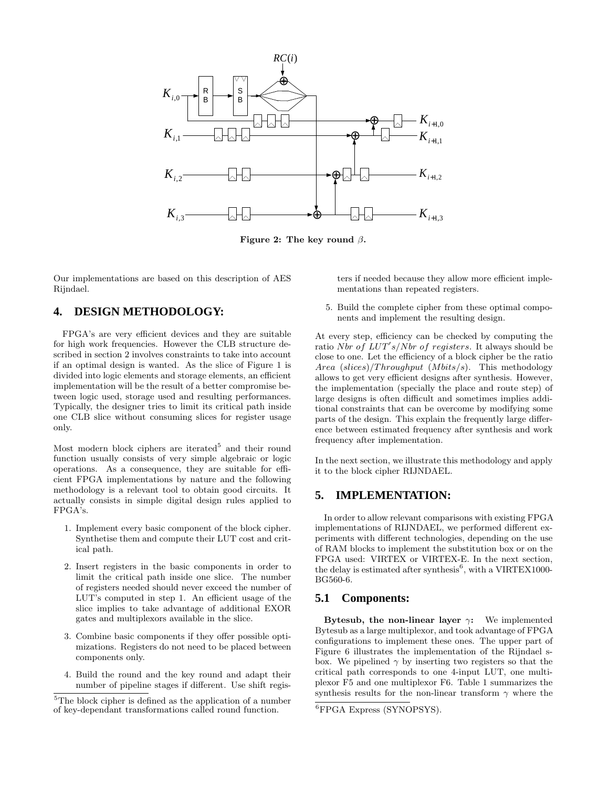

Figure 2: The key round  $\beta$ .

Our implementations are based on this description of AES Rijndael.

# **4. DESIGN METHODOLOGY:**

FPGA's are very efficient devices and they are suitable for high work frequencies. However the CLB structure described in section 2 involves constraints to take into account if an optimal design is wanted. As the slice of Figure 1 is divided into logic elements and storage elements, an efficient implementation will be the result of a better compromise between logic used, storage used and resulting performances. Typically, the designer tries to limit its critical path inside one CLB slice without consuming slices for register usage only.

Most modern block ciphers are iterated<sup>5</sup> and their round function usually consists of very simple algebraic or logic operations. As a consequence, they are suitable for efficient FPGA implementations by nature and the following methodology is a relevant tool to obtain good circuits. It actually consists in simple digital design rules applied to FPGA's.

- 1. Implement every basic component of the block cipher. Synthetise them and compute their LUT cost and critical path.
- 2. Insert registers in the basic components in order to limit the critical path inside one slice. The number of registers needed should never exceed the number of LUT's computed in step 1. An efficient usage of the slice implies to take advantage of additional EXOR gates and multiplexors available in the slice.
- 3. Combine basic components if they offer possible optimizations. Registers do not need to be placed between components only.
- 4. Build the round and the key round and adapt their number of pipeline stages if different. Use shift regis-

ters if needed because they allow more efficient implementations than repeated registers.

5. Build the complete cipher from these optimal components and implement the resulting design.

At every step, efficiency can be checked by computing the ratio Nbr of  $LUT's/Nbr$  of registers. It always should be close to one. Let the efficiency of a block cipher be the ratio Area  $(slices)/Throughput$  (Mbits/s). This methodology allows to get very efficient designs after synthesis. However, the implementation (specially the place and route step) of large designs is often difficult and sometimes implies additional constraints that can be overcome by modifying some parts of the design. This explain the frequently large difference between estimated frequency after synthesis and work frequency after implementation.

In the next section, we illustrate this methodology and apply it to the block cipher RIJNDAEL.

### **5. IMPLEMENTATION:**

In order to allow relevant comparisons with existing FPGA implementations of RIJNDAEL, we performed different experiments with different technologies, depending on the use of RAM blocks to implement the substitution box or on the FPGA used: VIRTEX or VIRTEX-E. In the next section, the delay is estimated after synthesis<sup>6</sup>, with a VIRTEX1000-BG560-6.

### **5.1 Components:**

Bytesub, the non-linear layer  $\gamma$ : We implemented Bytesub as a large multiplexor, and took advantage of FPGA configurations to implement these ones. The upper part of Figure 6 illustrates the implementation of the Rijndael sbox. We pipelined  $\gamma$  by inserting two registers so that the critical path corresponds to one 4-input LUT, one multiplexor F5 and one multiplexor F6. Table 1 summarizes the synthesis results for the non-linear transform  $\gamma$  where the

<sup>&</sup>lt;sup>5</sup>The block cipher is defined as the application of a number of key-dependant transformations called round function.

<sup>6</sup>FPGA Express (SYNOPSYS).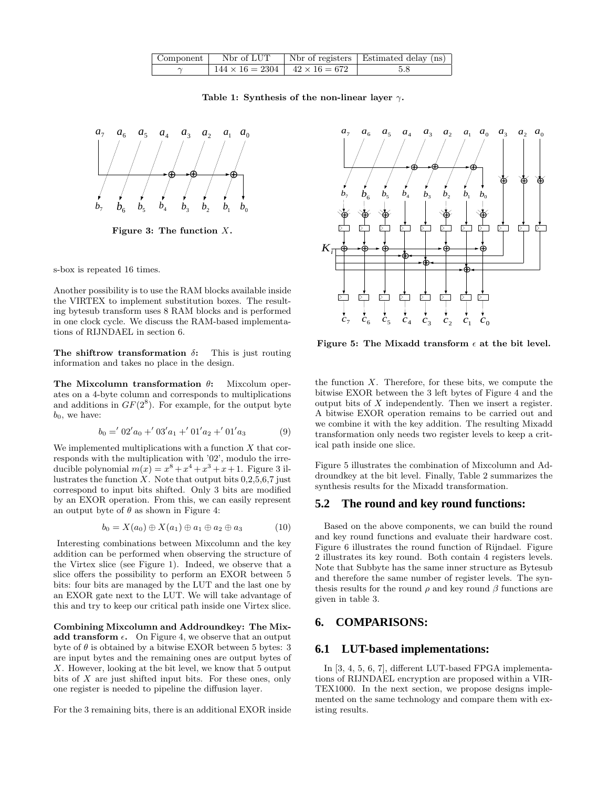|                                               | Component   Nbr of LUT   Nbr of registers   Estimated delay $(ns)$ |
|-----------------------------------------------|--------------------------------------------------------------------|
| $144 \times 16 = 2304$   $42 \times 16 = 672$ | - 5.8                                                              |

Table 1: Synthesis of the non-linear layer  $\gamma$ .



Figure 3: The function  $X$ .

s-box is repeated 16 times.

Another possibility is to use the RAM blocks available inside the VIRTEX to implement substitution boxes. The resulting bytesub transform uses 8 RAM blocks and is performed in one clock cycle. We discuss the RAM-based implementations of RIJNDAEL in section 6.

The shiftrow transformation  $\delta$ : This is just routing information and takes no place in the design.

The Mixcolumn transformation  $\theta$ : Mixcolum operates on a 4-byte column and corresponds to multiplications and additions in  $GF(2^8)$ . For example, for the output byte  $b_0$ , we have:

$$
b_0 = 0.2'a_0 + 0.3'a_1 + 0.1'a_2 + 0.1'a_3 \tag{9}
$$

We implemented multiplications with a function  $X$  that corresponds with the multiplication with '02', modulo the irreducible polynomial  $m(x) = x^8 + x^4 + x^3 + x + 1$ . Figure 3 illustrates the function  $X$ . Note that output bits  $0,2,5,6,7$  just correspond to input bits shifted. Only 3 bits are modified by an EXOR operation. From this, we can easily represent an output byte of  $\theta$  as shown in Figure 4:

$$
b_0 = X(a_0) \oplus X(a_1) \oplus a_1 \oplus a_2 \oplus a_3 \tag{10}
$$

Interesting combinations between Mixcolumn and the key addition can be performed when observing the structure of the Virtex slice (see Figure 1). Indeed, we observe that a slice offers the possibility to perform an EXOR between 5 bits: four bits are managed by the LUT and the last one by an EXOR gate next to the LUT. We will take advantage of this and try to keep our critical path inside one Virtex slice.

Combining Mixcolumn and Addroundkey: The Mixadd transform  $\epsilon$ . On Figure 4, we observe that an output byte of  $\theta$  is obtained by a bitwise EXOR between 5 bytes: 3 are input bytes and the remaining ones are output bytes of X. However, looking at the bit level, we know that 5 output bits of X are just shifted input bits. For these ones, only one register is needed to pipeline the diffusion layer.

For the 3 remaining bits, there is an additional EXOR inside



Figure 5: The Mixadd transform  $\epsilon$  at the bit level.

the function  $X$ . Therefore, for these bits, we compute the bitwise EXOR between the 3 left bytes of Figure 4 and the output bits of  $X$  independently. Then we insert a register. A bitwise EXOR operation remains to be carried out and we combine it with the key addition. The resulting Mixadd transformation only needs two register levels to keep a critical path inside one slice.

Figure 5 illustrates the combination of Mixcolumn and Addroundkey at the bit level. Finally, Table 2 summarizes the synthesis results for the Mixadd transformation.

#### **5.2 The round and key round functions:**

Based on the above components, we can build the round and key round functions and evaluate their hardware cost. Figure 6 illustrates the round function of Rijndael. Figure 2 illustrates its key round. Both contain 4 registers levels. Note that Subbyte has the same inner structure as Bytesub and therefore the same number of register levels. The synthesis results for the round  $\rho$  and key round  $\beta$  functions are given in table 3.

# **6. COMPARISONS:**

#### **6.1 LUT-based implementations:**

In [3, 4, 5, 6, 7], different LUT-based FPGA implementations of RIJNDAEL encryption are proposed within a VIR-TEX1000. In the next section, we propose designs implemented on the same technology and compare them with existing results.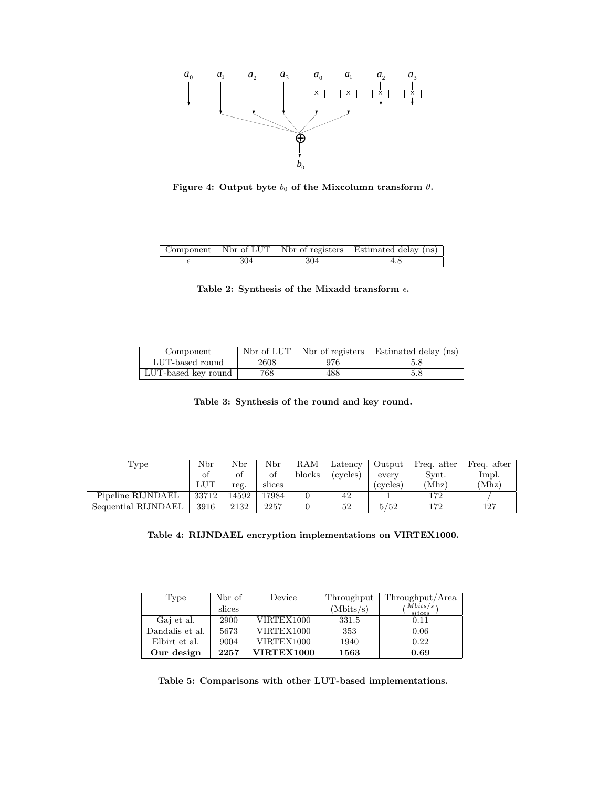

Figure 4: Output byte  $b_0$  of the Mixcolumn transform  $\theta$ .

|     |     | Component   Nbr of LUT   Nbr of registers   Estimated delay (ns) |
|-----|-----|------------------------------------------------------------------|
| 304 | 304 |                                                                  |

|  |  |  |  | Table 2: Synthesis of the Mixadd transform $\epsilon$ . |  |
|--|--|--|--|---------------------------------------------------------|--|
|--|--|--|--|---------------------------------------------------------|--|

| Component           | Nbr of LUT |     | Not of registers   Estimated delay (ns) |
|---------------------|------------|-----|-----------------------------------------|
| LUT-based round     | 2608       | 976 | 5.8                                     |
| LUT-based key round | 768        | 488 | 5.8                                     |

Table 3: Synthesis of the round and key round.

| Type                | Nbr        | Nbr  | $_{\rm Nbr}$ | RAM    | Latency  | Output  | Freq. after      | Freq. after |
|---------------------|------------|------|--------------|--------|----------|---------|------------------|-------------|
|                     | ΩŤ         |      | Ωt           | blocks | (cycles) | every   | $\mathrm{Svnt}.$ | lmpl.       |
|                     | <b>LUT</b> | reg. | slices       |        |          | cvcles) | 'Mhz)            | 'Mhz)       |
| Pipeline RIJNDAEL   | 33712      | 4592 | 17984        |        | 42       |         | 172              |             |
| Sequential RIJNDAEL | 3916       | 2132 | 2257         |        | 52       | 5/52    | 172              | 127         |

| Table 4: RIJNDAEL encryption implementations on VIRTEX1000. |  |  |  |  |
|-------------------------------------------------------------|--|--|--|--|
|-------------------------------------------------------------|--|--|--|--|

| Type            | Nbr of | Device            | Throughput | Throughput/Area                       |
|-----------------|--------|-------------------|------------|---------------------------------------|
|                 | slices |                   | (Mbits/s)  | $\left(\frac{Mbits/s}{slices}\right)$ |
| Gaj et al.      | 2900   | VIRTEX1000        | 331.5      | 0.11                                  |
| Dandalis et al. | 5673   | VIRTEX1000        | 353        | 0.06                                  |
| Elbirt et al.   | 9004   | VIRTEX1000        | 1940       | 0.22                                  |
| Our design      | 2257   | <b>VIRTEX1000</b> | 1563       | 0.69                                  |

Table 5: Comparisons with other LUT-based implementations.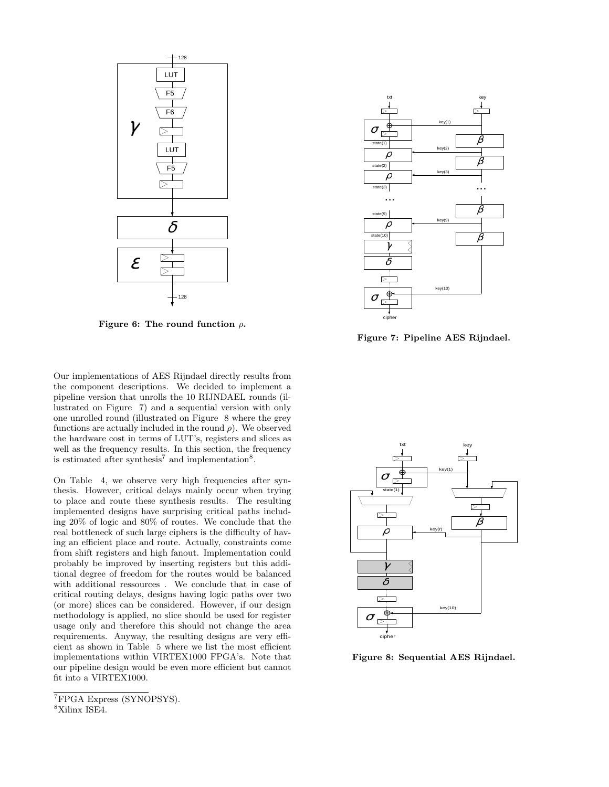

Figure 6: The round function  $\rho$ .

Our implementations of AES Rijndael directly results from the component descriptions. We decided to implement a pipeline version that unrolls the 10 RIJNDAEL rounds (illustrated on Figure 7) and a sequential version with only one unrolled round (illustrated on Figure 8 where the grey functions are actually included in the round  $\rho$ ). We observed the hardware cost in terms of LUT's, registers and slices as well as the frequency results. In this section, the frequency is estimated after synthesis<sup>7</sup> and implementation<sup>8</sup>.

On Table 4, we observe very high frequencies after synthesis. However, critical delays mainly occur when trying to place and route these synthesis results. The resulting implemented designs have surprising critical paths including 20% of logic and 80% of routes. We conclude that the real bottleneck of such large ciphers is the difficulty of having an efficient place and route. Actually, constraints come from shift registers and high fanout. Implementation could probably be improved by inserting registers but this additional degree of freedom for the routes would be balanced with additional ressources . We conclude that in case of critical routing delays, designs having logic paths over two (or more) slices can be considered. However, if our design methodology is applied, no slice should be used for register usage only and therefore this should not change the area requirements. Anyway, the resulting designs are very efficient as shown in Table 5 where we list the most efficient implementations within VIRTEX1000 FPGA's. Note that our pipeline design would be even more efficient but cannot fit into a VIRTEX1000.



Figure 7: Pipeline AES Rijndael.



Figure 8: Sequential AES Rijndael.

<sup>7</sup>FPGA Express (SYNOPSYS).

<sup>8</sup>Xilinx ISE4.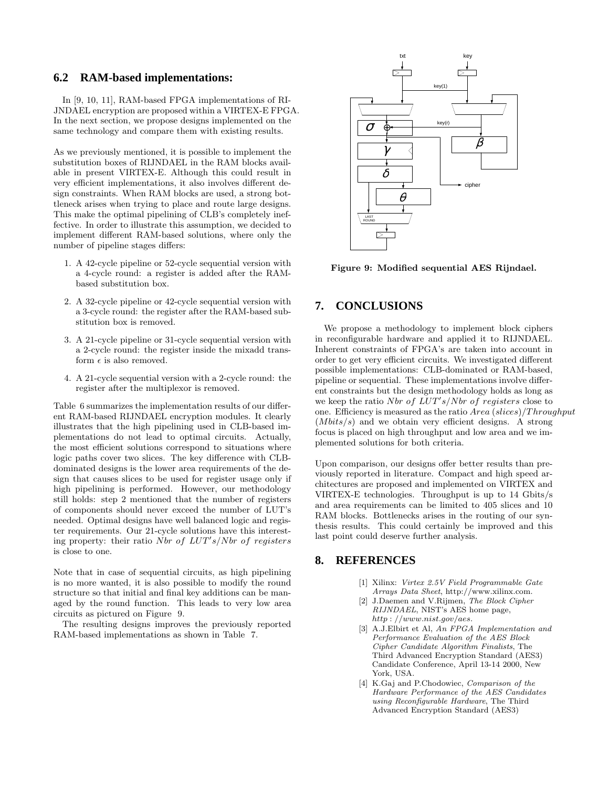#### **6.2 RAM-based implementations:**

In [9, 10, 11], RAM-based FPGA implementations of RI-JNDAEL encryption are proposed within a VIRTEX-E FPGA. In the next section, we propose designs implemented on the same technology and compare them with existing results.

As we previously mentioned, it is possible to implement the substitution boxes of RIJNDAEL in the RAM blocks available in present VIRTEX-E. Although this could result in very efficient implementations, it also involves different design constraints. When RAM blocks are used, a strong bottleneck arises when trying to place and route large designs. This make the optimal pipelining of CLB's completely ineffective. In order to illustrate this assumption, we decided to implement different RAM-based solutions, where only the number of pipeline stages differs:

- 1. A 42-cycle pipeline or 52-cycle sequential version with a 4-cycle round: a register is added after the RAMbased substitution box.
- 2. A 32-cycle pipeline or 42-cycle sequential version with a 3-cycle round: the register after the RAM-based substitution box is removed.
- 3. A 21-cycle pipeline or 31-cycle sequential version with a 2-cycle round: the register inside the mixadd transform  $\epsilon$  is also removed.
- 4. A 21-cycle sequential version with a 2-cycle round: the register after the multiplexor is removed.

Table 6 summarizes the implementation results of our different RAM-based RIJNDAEL encryption modules. It clearly illustrates that the high pipelining used in CLB-based implementations do not lead to optimal circuits. Actually, the most efficient solutions correspond to situations where logic paths cover two slices. The key difference with CLBdominated designs is the lower area requirements of the design that causes slices to be used for register usage only if high pipelining is performed. However, our methodology still holds: step 2 mentioned that the number of registers of components should never exceed the number of LUT's needed. Optimal designs have well balanced logic and register requirements. Our 21-cycle solutions have this interesting property: their ratio Nbr of  $LUT's/N$ br of registers is close to one.

Note that in case of sequential circuits, as high pipelining is no more wanted, it is also possible to modify the round structure so that initial and final key additions can be managed by the round function. This leads to very low area circuits as pictured on Figure 9.

The resulting designs improves the previously reported RAM-based implementations as shown in Table 7.



Figure 9: Modified sequential AES Rijndael.

### **7. CONCLUSIONS**

We propose a methodology to implement block ciphers in reconfigurable hardware and applied it to RIJNDAEL. Inherent constraints of FPGA's are taken into account in order to get very efficient circuits. We investigated different possible implementations: CLB-dominated or RAM-based, pipeline or sequential. These implementations involve different constraints but the design methodology holds as long as we keep the ratio Nbr of  $LUT's/Nbr$  of registers close to one. Efficiency is measured as the ratio  $Area (slices)/Throughput$  $(Mbits/s)$  and we obtain very efficient designs. A strong focus is placed on high throughput and low area and we implemented solutions for both criteria.

Upon comparison, our designs offer better results than previously reported in literature. Compact and high speed architectures are proposed and implemented on VIRTEX and VIRTEX-E technologies. Throughput is up to 14 Gbits/s and area requirements can be limited to 405 slices and 10 RAM blocks. Bottlenecks arises in the routing of our synthesis results. This could certainly be improved and this last point could deserve further analysis.

#### **8. REFERENCES**

- [1] Xilinx: Virtex 2.5V Field Programmable Gate Arrays Data Sheet, http://www.xilinx.com.
- [2] J.Daemen and V.Rijmen, The Block Cipher RIJNDAEL, NIST's AES home page, http : //www.nist.gov/aes.
- [3] A.J.Elbirt et Al, An FPGA Implementation and Performance Evaluation of the AES Block Cipher Candidate Algorithm Finalists, The Third Advanced Encryption Standard (AES3) Candidate Conference, April 13-14 2000, New York, USA.
- [4] K.Gaj and P.Chodowiec, Comparison of the Hardware Performance of the AES Candidates using Reconfigurable Hardware, The Third Advanced Encryption Standard (AES3)